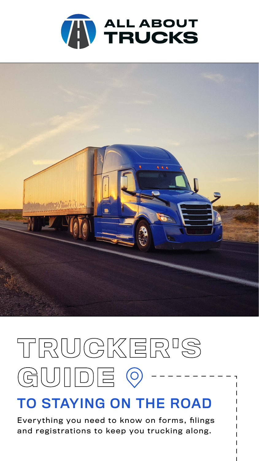



# TRUCKER<sup>I</sup>S  $(U)|||D||\equiv$  $G$  $\bigcirc$

## TO STAYING ON THE ROAD

Everything you need to know on forms, filings and registrations to keep you trucking along.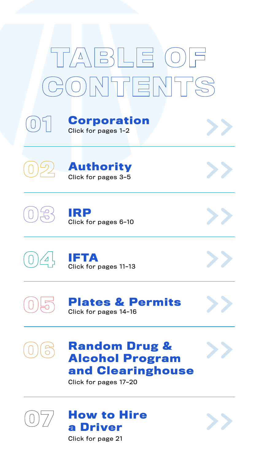## **Random Drug & Alcohol Program [and Clearinghouse](#page-18-0)**











# $\frac{1}{\sqrt{7}}$ NHFENF



## **[Corporation](#page-2-0)**

Click for pages 1–2







Click for pages 17–20

Click for page 21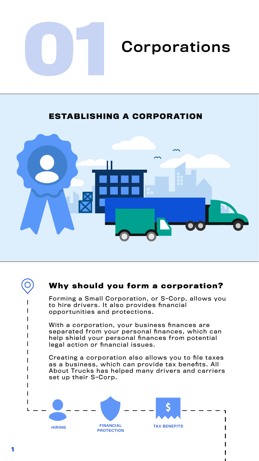<span id="page-2-0"></span>

# **01** Corporations

## **Why should you form a corporation?**

Forming a Small Corporation, or S-Corp, allows you to hire drivers. It also provides financial opportunities and protections.

With a corporation, your business finances are separated from your personal finances, which can help shield your personal finances from potential legal action or financial issues.

Creating a corporation also allows you to file taxes as a business, which can provide tax benefits. All About Trucks has helped many drivers and carriers set up their S-Corp.

**ESTABLISHING A CORPORATION**







**1**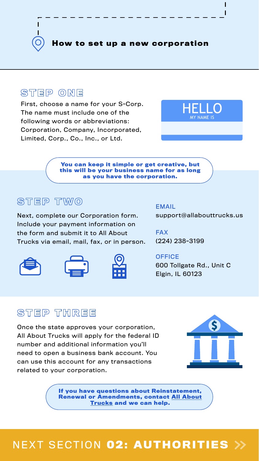**You can keep it simple or get creative, but this will be your business name for as long as you have the corporation.**

## STEP TWO

**If you have questions about Reinstatement, [Renewal or Amendments, contact All About](https://www.allabouttrucks.us/contact-us/)  Trucks and we can help.**

First, choose a name for your S-Corp. The name must include one of the following words or abbreviations: Corporation, Company, Incorporated, Limited, Corp., Co., Inc., or Ltd.



Next, complete our Corporation form. Include your payment information on the form and submit it to All About Trucks via email, mail, fax, or in person.







Once the state approves your corporation, All About Trucks will apply for the federal ID number and additional information you'll need to open a business bank account. You can use this account for any transactions related to your corporation.

**How to set up a new corporation**

## STEP ONE



## NEXT SECTION **02: AUTHORITIES**

#### EMAIL

support@allabouttrucks.us

FAX

[\(224\) 238-3199](https://www.allabouttrucks.us/contact-us/)

#### **OFFICE**

[600 Tollgate Rd., Unit C](https://www.google.com/maps/dir/41.8799308,-87.6305172/all+about+trucks/@41.9716916,-88.2429316,10z/data=!3m1!4b1!4m9!4m8!1m1!4e1!1m5!1m1!1s0x880f0f8f56c9baa3:0x841739877f5d65cb!2m2!1d-88.2937125!) Elgin, IL 60123



## STEP THREE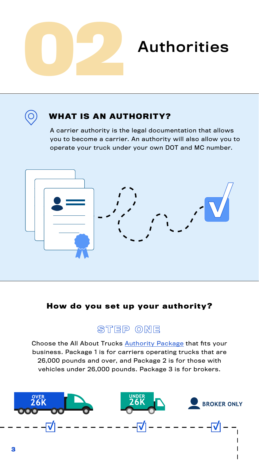<span id="page-4-0"></span>

## **How do you set up your authority?**



## **WHAT IS AN AUTHORITY?**

A carrier authority is the legal documentation that allows you to become a carrier. An authority will also allow you to operate your truck under your own DOT and MC number.



[Choose the All About Trucks Authority Package that fits your](https://www.allabouttrucks.us/authorities/)  business. Package 1 is for carriers operating trucks that are 26,000 pounds and over, and Package 2 is for those with vehicles under 26,000 pounds. Package 3 is for brokers.

![](_page_4_Picture_8.jpeg)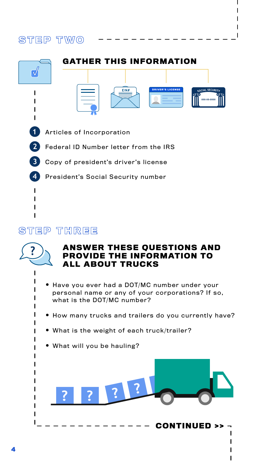**•** Have you ever had a DOT/MC number under your personal name or any of your corporations? If so, what is the DOT/MC number?

- How many trucks and trailers do you currently have?
- What is the weight of each truck/trailer?
- What will you be hauling?

## STEP TWO

![](_page_5_Picture_1.jpeg)

![](_page_5_Picture_2.jpeg)

## **ANSWER THESE QUESTIONS AND PROVIDE THE INFORMATION TO ALL ABOUT TRUCKS**

![](_page_5_Picture_8.jpeg)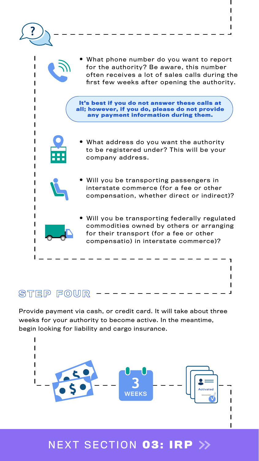Provide payment via cash, or credit card. It will take about three weeks for your authority to become active. In the meantime, begin looking for liability and cargo insurance.

**•** What phone number do you want to report for the authority? Be aware, this number often receives a lot of sales calls during the first few weeks after opening the authority.

- What address do you want the authority to be registered under? This will be your company address.
- Will you be transporting passengers in interstate commerce (for a fee or other compensation, whether direct or indirect)?
- Will you be transporting federally regulated commodities owned by others or arranging for their transport (for a fee or other compensatio) in interstate commerce)?

STEP FOUR

## NEXT SECTION **03: IRP**

![](_page_6_Figure_7.jpeg)

**It's best if you do not answer these calls at all; however, if you do, please do not provide any payment information during them.**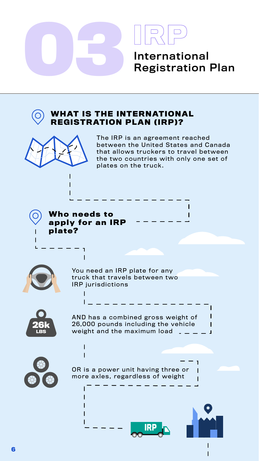<span id="page-7-0"></span>![](_page_7_Picture_0.jpeg)

![](_page_7_Picture_10.jpeg)

**Who needs to apply for an IRP plate?**

> You need an IRP plate for any truck that travels between two IRP jurisdictions

The IRP is an agreement reached between the United States and Canada that allows truckers to travel between the two countries with only one set of plates on the truck.

AND has a combined gross weight of 26,000 pounds including the vehicle weight and the maximum load

![](_page_7_Picture_8.jpeg)

OR is a power unit having three or more axles, regardless of weight

## **WHAT IS THE INTERNATIONAL REGISTRATION PLAN (IRP)?**

![](_page_7_Picture_2.jpeg)

![](_page_7_Picture_6.jpeg)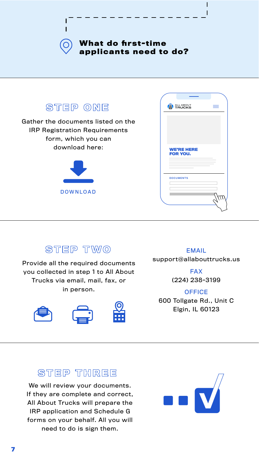![](_page_8_Picture_1.jpeg)

![](_page_8_Picture_2.jpeg)

Provide all the required documents you collected in step 1 to All About Trucks via email, mail, fax, or in person.

![](_page_8_Picture_4.jpeg)

![](_page_8_Picture_5.jpeg)

![](_page_8_Picture_6.jpeg)

**FAX** [\(224\) 238-3199](https://www.allabouttrucks.us/contact-us/)

#### **OFFICE**

We will review your documents. If they are complete and correct, All About Trucks will prepare the IRP application and Schedule G forms on your behalf. All you will need to do is sign them.

![](_page_8_Picture_13.jpeg)

#### EMAIL support@allabouttrucks.us

[600 Tollgate Rd., Unit C](https://www.google.com/maps/dir/41.8799308,-87.6305172/all+about+trucks/@41.9716916,-88.2429316,10z/data=!3m1!4b1!4m9!4m8!1m1!4e1!1m5!1m1!1s0x880f0f8f56c9baa3:0x841739877f5d65cb!2m2!1d-88.2937125!) Elgin, IL 60123

## STEP THREE

![](_page_8_Picture_0.jpeg)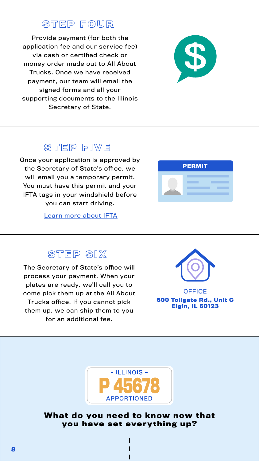![](_page_9_Picture_6.jpeg)

## STEP SIX

## STEP FOUR

Provide payment (for both the application fee and our service fee) via cash or certified check or money order made out to All About Trucks. Once we have received payment, our team will email the signed forms and all your supporting documents to the Illinois Secretary of State.

![](_page_9_Picture_2.jpeg)

## STEP FIVE

The Secretary of State's office will process your payment. When your plates are ready, we'll call you to come pick them up at the All About

Trucks office. If you cannot pick them up, we can ship them to you

![](_page_9_Picture_10.jpeg)

**OFFICE [600 Tollgate Rd., Unit C](https://www.google.com/maps/dir/41.8799308,-87.6305172/all+about+trucks/@41.9716916,-88.2429316,10z/data=!3m1!4b1!4m9!4m8!1m1!4e1!1m5!1m1!1s0x880f0f8f56c9baa3:0x841739877f5d65cb!2m2!1d-88.2937125!) Elgin, IL 60123**

Once your application is approved by the Secretary of State's office, we will email you a temporary permit. You must have this permit and your IFTA tags in your windshield before you can start driving.

for an additional fee.

![](_page_9_Picture_14.jpeg)

**you have set everything up?**

[Learn more about IFTA](https://www.allabouttrucks.us/international-fuel-tax-agreement/)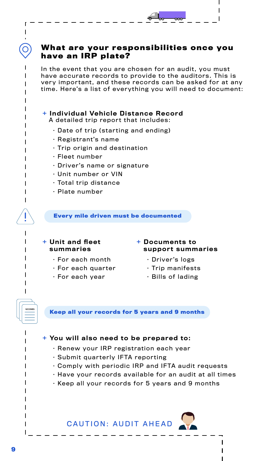## **What are your responsibilities once you have an IRP plate?**

In the event that you are chosen for an audit, you must have accurate records to provide to the auditors. This is very important, and these records can be asked for at any time. Here's a list of everything you will need to document:

#### + Individual Vehicle Distance Record

A detailed trip report that includes:

- Date of trip (starting and ending)
- Registrant's name
- Trip origin and destination
- Fleet number
- Driver's name or signature
- Unit number or VIN
- Total trip distance
- Plate number

#### + You will also need to be prepared to:

- Renew your IRP registration each year
- Submit quarterly IFTA reporting
- Comply with periodic IRP and IFTA audit requests
- Have your records available for an audit at all times
- Keep all your records for 5 years and 9 months

#### + Documents to support summaries

- Driver's logs
- Trip manifests
- Bills of lading

![](_page_10_Figure_22.jpeg)

**RECORDS** 

#### + Unit and fleet summaries

- For each month
- $\cdot$  For each quarter
- For each year

![](_page_10_Picture_30.jpeg)

#### **Every mile driven must be documented**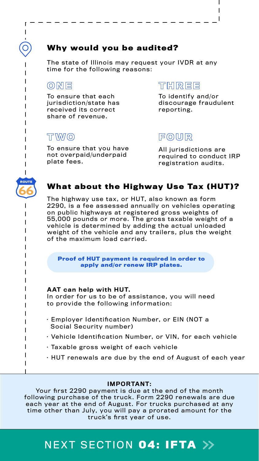## **Why would you be audited?**

The state of Illinois may request your IVDR at any time for the following reasons:

## ONE

## **What about the Highway Use Tax (HUT)?**

The highway use tax, or HUT, also known as form 2290, is a fee assessed annually on vehicles operating on public highways at registered gross weights of 55,000 pounds or more. The gross taxable weight of a vehicle is determined by adding the actual unloaded weight of the vehicle and any trailers, plus the weight of the maximum load carried.

#### AAT can help with HUT.

In order for us to be of assistance, you will need to provide the following information:

#### IMPORTANT:

Your first 2290 payment is due at the end of the month following purchase of the truck. Form 2290 renewals are due each year at the end of August. For trucks purchased at any time other than July, you will pay a prorated amount for the truck's first year of use.

- Employer Identification Number, or EIN (NOT a Social Security number)
- Vehicle Identification Number, or VIN, for each vehicle
- Taxable gross weight of each vehicle
- HUT renewals are due by the end of August of each year

**Proof of HUT payment is required in order to apply and/or renew IRP plates.** 

To ensure that each jurisdiction/state has received its correct share of revenue.

## **THREE**

To ensure that you have not overpaid/underpaid plate fees.

## **FOUR**

To identify and/or discourage fraudulent reporting.

## T WVO

All jurisdictions are required to conduct IRP registration audits.

## NEXT SECTION **04: IFTA**

![](_page_11_Picture_10.jpeg)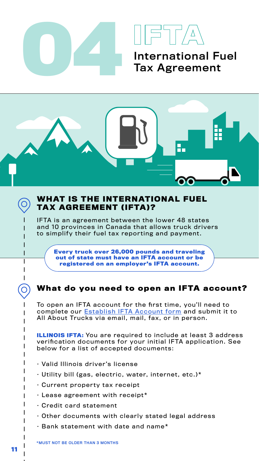<span id="page-12-0"></span>![](_page_12_Picture_0.jpeg)

![](_page_12_Picture_1.jpeg)

## **WHAT IS THE INTERNATIONAL FUEL TAX AGREEMENT (IFTA)?**

IFTA is an agreement between the lower 48 states and 10 provinces in Canada that allows truck drivers to simplify their fuel tax reporting and payment.

**Every truck over 26,000 pounds and traveling out of state must have an IFTA account or be registered on an employer's IFTA account.** 

**ILLINOIS IFTA:** You are required to include at least 3 address verification documents for your initial IFTA application. See below for a list of accepted documents:

To open an IFTA account for the first time, you'll need to complete our **Establish IFTA Account form** and submit it to All About Trucks via email, mail, fax, or in person.

**What do you need to open an IFTA account?** 

- Valid Illinois driver's license
- Utility bill (gas, electric, water, internet, etc.)\*
- Current property tax receipt
- Lease agreement with receipt\*
- Credit card statement
- Other documents with clearly stated legal address
- Bank statement with date and name\*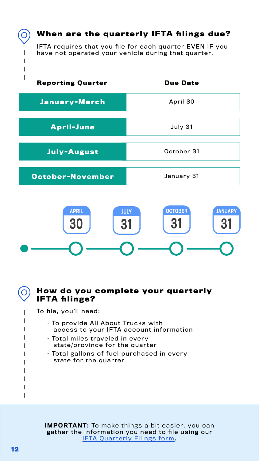IFTA requires that you file for each quarter EVEN IF you have not operated your vehicle during that quarter.

## **When are the quarterly IFTA filings due?**

- To provide All About Trucks with access to your IFTA account information
- Total miles traveled in every state/province for the quarter
- Total gallons of fuel purchased in every state for the quarter

To file, you'll need:

![](_page_13_Picture_4.jpeg)

![](_page_13_Figure_3.jpeg)

| <b>Reporting Quarter</b> | <b>Due Date</b> |
|--------------------------|-----------------|
| <b>January-March</b>     | April 30        |
|                          |                 |
| <b>April-June</b>        | July 31         |
| <b>July-August</b>       | October 31      |
|                          |                 |
| October-November         | January 31      |

IMPORTANT: To make things a bit easier, you can [gather the information you need to file using our](https://www.allabouttrucks.us/wp-content/uploads/IFTA_Quarterly_Filings.pdf)  IFTA Quarterly Filings form.

 $\bigcirc$ 

I

 $\mathsf{l}$  $\blacksquare$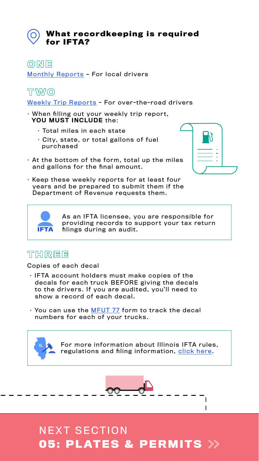As an IFTA licensee, you are responsible for providing records to support your tax return filings during an audit.

## THREE

- IFTA account holders must make copies of the decals for each truck BEFORE giving the decals to the drivers. If you are audited, you'll need to show a record of each decal.
- You can use the MFUT 77 form to track the decal

[For more information about Illinois IFTA rules,](https://www.allabouttrucks.us/international-fuel-tax-agreement/)  regulations and filing information, click here.

![](_page_14_Picture_19.jpeg)

numbers for each of your trucks.

- When filling out your weekly trip report, YOU MUST INCLUDE the:
	- Total miles in each state
	- City, state, or total gallons of fuel purchased
- At the bottom of the form, total up the miles and gallons for the final amount.

![](_page_14_Picture_9.jpeg)

• Keep these weekly reports for at least four years and be prepared to submit them if the Department of Revenue requests them.

Copies of each decal

[Monthly Reports – For local drivers](https://www.allabouttrucks.us/wp-content/uploads/IFTA_-MONTHLY-REPORT.pdf) 

## TWO

Weekly Trip Reports - For over-the-road drivers

## **What recordkeeping is required for IFTA?**

ONE

## **05: PLATES & PERMITS** NEXT SECTION

![](_page_14_Picture_11.jpeg)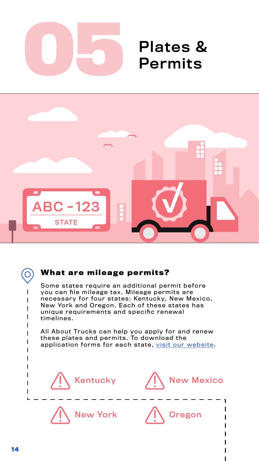<span id="page-15-0"></span>![](_page_15_Picture_0.jpeg)

# Permits

## **What are mileage permits?**

Some states require an additional permit before you can file mileage tax. Mileage permits are necessary for four states: Kentucky, New Mexico, New York and Oregon. Each of these states has

![](_page_15_Figure_5.jpeg)

All About Trucks can help you apply for and renew these plates and permits. To download the [application forms for each state, visit our website.](https://www.allabouttrucks.us/state-permits/)

![](_page_15_Picture_2.jpeg)

![](_page_15_Figure_7.jpeg)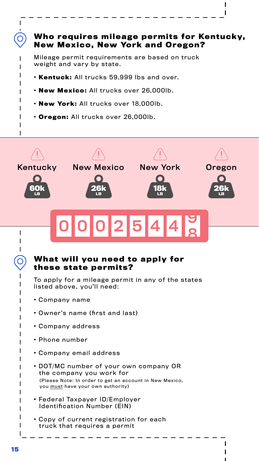## **Who requires mileage permits for Kentucky, New Mexico, New York and Oregon?**

Mileage permit requirements are based on truck weight and vary by state.

- **· Kentuck:** All trucks 59,999 lbs and over.
- **· New Mexico:** All trucks over 26,000lb.
- **· New York:** All trucks over 18,000lb.
- **· Oregon:** All trucks over 26,000lb.

![](_page_16_Figure_6.jpeg)

- **·** Owner's name (first and last)
- **·** Company address
- **·** Phone number
- **·** Company email address
- **·** DOT/MC number of your own company OR the company you work for

- **·** Federal Taxpayer ID/Employer Identification Number (EIN)
- **·** Copy of current registration for each truck that requires a permit

(Please Note: In order to get an account in New Mexico, you must have your own authority)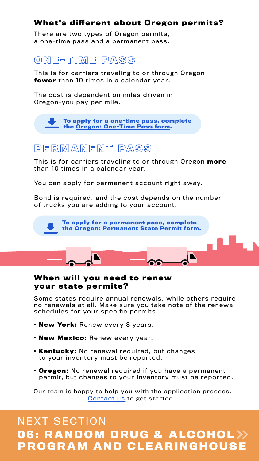#### **When will you need to renew your state permits?**

Some states require annual renewals, while others require no renewals at all. Make sure you take note of the renewal

schedules for your specific permits.

- **· New York:** Renew every 3 years.
- **· New Mexico:** Renew every year.
- **· Kentucky:** No renewal required, but changes to your inventory must be reported.
- **· Oregon:** No renewal required if you have a permanent permit, but changes to your inventory must be reported.

## **What's different about Oregon permits?**

There are two types of Oregon permits, a one-time pass and a permanent pass.

## ONE-TIME PASS

This is for carriers traveling to or through Oregon **fewer** than 10 times in a calendar year.

The cost is dependent on miles driven in Oregon-you pay per mile.

> **[To apply for a one-time pass, complete](https://www.allabouttrucks.us/wp-content/uploads/AAT_Oregon_One-Time_Pass.pdf)  the Oregon: One-Time Pass form.**

## PERMANENT PASS

This is for carriers traveling to or through Oregon **more** than 10 times in a calendar year.

You can apply for permanent account right away.

Bond is required, and the cost depends on the number of trucks you are adding to your account.

![](_page_17_Picture_10.jpeg)

## **06: RANDOM DRUG & ALCOHOL PROGRAM AND CLEARINGHOUSE** NEXT SECTION

[Our team is happy to help you with the application process.](https://www.allabouttrucks.us/contact-us/) Contact us to get started.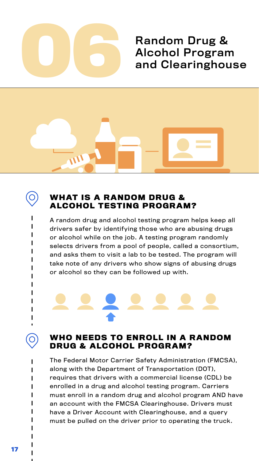<span id="page-18-0"></span>![](_page_18_Picture_0.jpeg)

# Alcohol Program and Clearinghouse

![](_page_18_Picture_2.jpeg)

![](_page_18_Picture_3.jpeg)

## **WHAT IS A RANDOM DRUG & ALCOHOL TESTING PROGRAM?**

A random drug and alcohol testing program helps keep all drivers safer by identifying those who are abusing drugs or alcohol while on the job. A testing program randomly selects drivers from a pool of people, called a consortium, and asks them to visit a lab to be tested. The program will take note of any drivers who show signs of abusing drugs or alcohol so they can be followed up with.

## **WHO NEEDS TO ENROLL IN A RANDOM DRUG & ALCOHOL PROGRAM?**

The Federal Motor Carrier Safety Administration (FMCSA), along with the Department of Transportation (DOT), requires that drivers with a commercial license (CDL) be enrolled in a drug and alcohol testing program. Carriers must enroll in a random drug and alcohol program AND have an account with the FMCSA Clearinghouse. Drivers must have a Driver Account with Clearinghouse, and a query must be pulled on the driver prior to operating the truck.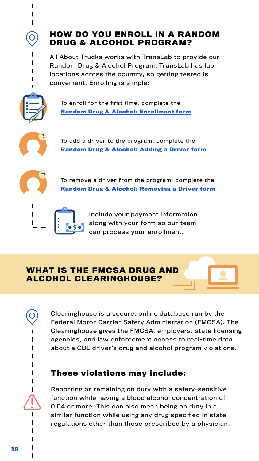## **HOW DO YOU ENROLL IN A RANDOM DRUG & ALCOHOL PROGRAM?**

All About Trucks works with TransLab to provide our Random Drug & Alcohol Program. TransLab has lab locations across the country, so getting tested is convenient. Enrolling is simple:

![](_page_19_Picture_2.jpeg)

Include your payment information along with your form so our team can process your enrollment.

## **WHAT IS THE FMCSA DRUG AND ALCOHOL CLEARINGHOUSE?**

Clearinghouse is a secure, online database run by the Federal Motor Carrier Safety Administration (FMCSA). The Clearinghouse gives the FMCSA, employers, state licensing agencies, and law enforcement access to real-time data about a CDL driver's drug and alcohol program violations.

Reporting or remaining on duty with a safety-sensitive function while having a blood alcohol concentration of 0.04 or more. This can also mean being on duty in a similar function while using any drug specified in state regulations other than those prescribed by a physician.

To add a driver to the program, complete the **[Random Drug & Alcohol: Adding a Driver form](https://www.allabouttrucks.us/wp-content/uploads/AAT_RandomProgram_Add_A_Driver9.29.pdf)**

![](_page_19_Picture_6.jpeg)

To enroll for the first time, complete the **[Random Drug & Alcohol: Enrollment form](https://www.allabouttrucks.us/wp-content/uploads/AAT_RandomProgram_Enrollment9.29.pdf)**

![](_page_19_Picture_4.jpeg)

To remove a driver from the program, complete the **[Random Drug & Alcohol: Removing a Driver form](https://www.allabouttrucks.us/wp-content/uploads/AAT_RandomProgram_Remove_A_Driver.pdf)**

![](_page_19_Figure_8.jpeg)

## **These violations may include:**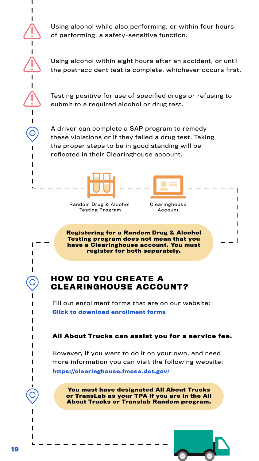Using alcohol while also performing, or within four hours of performing, a safety-sensitive function.

Using alcohol within eight hours after an accident, or until the post-accident test is complete, whichever occurs first.

Testing positive for use of specified drugs or refusing to submit to a required alcohol or drug test.

## **HOW DO YOU CREATE A CLEARINGHOUSE ACCOUNT?**

[Fill out enrollment forms that are on our website:](https://www.allabouttrucks.us/wp-content/uploads/AAT_Clearinghouse_Company_Enrollment.pdf)

#### **All About Trucks can assist you for a service fee.**

**Registering for a Random Drug & Alcohol Testing program does not mean that you have a Clearinghouse account. You must register for both separately.** 

**You must have designated All About Trucks or TransLab as your TPA if you are in the All About Trucks or Translab Random program.** 

![](_page_20_Picture_16.jpeg)

However, if you want to do it on your own, and need more information you can visit the following website: **[https://clearinghouse.fmcsa.dot.gov/](https://clearinghouse.fmcsa.dot.gov)** 

A driver can complete a SAP program to remedy these violations or if they failed a drug test. Taking the proper steps to be in good standing will be reflected in their Clearinghouse account.

![](_page_20_Figure_5.jpeg)

#### **Click to download enrollment forms**

![](_page_20_Picture_6.jpeg)

Random Drug & Alcohol Testing Program

Clearinghouse Account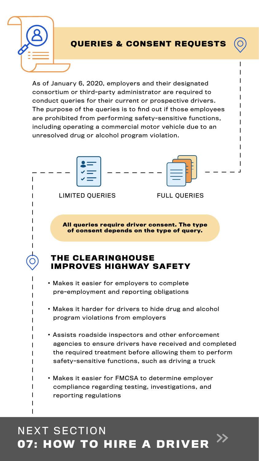**·** Makes it harder for drivers to hide drug and alcohol

program violations from employers

- **·** Assists roadside inspectors and other enforcement agencies to ensure drivers have received and completed the required treatment before allowing them to perform safety-sensitive functions, such as driving a truck
- **·** Makes it easier for FMCSA to determine employer compliance regarding testing, investigations, and reporting regulations

## **07: HOW TO HIRE A DRIVER**  NEXT SECTION

![](_page_21_Figure_3.jpeg)

As of January 6, 2020, employers and their designated consortium or third-party administrator are required to conduct queries for their current or prospective drivers. The purpose of the queries is to find out if those employees are prohibited from performing safety-sensitive functions, including operating a commercial motor vehicle due to an unresolved drug or alcohol program violation.

![](_page_21_Picture_0.jpeg)

## **QUERIES & CONSENT REQUESTS**